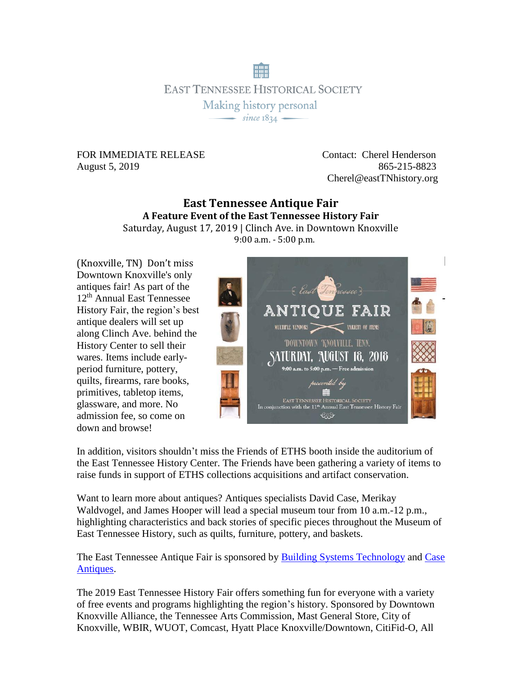**EAST TENNESSEE HISTORICAL SOCIETY** Making history personal  $-$  since  $1834 -$ 

## August 5, 2019865-215-8823

FOR IMMEDIATE RELEASE Contact: Cherel Henderson Cherel@eastTNhistory.org

## **East Tennessee Antique Fair A Feature Event of the East Tennessee History Fair**

Saturday, August 17, 2019 | Clinch Ave. in Downtown Knoxville 9:00 a.m. - 5:00 p.m.

(Knoxville, TN) Don't miss Downtown Knoxville's only antiques fair! As part of the 12th Annual East Tennessee History Fair, the region's best antique dealers will set up along Clinch Ave. behind the History Center to sell their wares. Items include earlyperiod furniture, pottery, quilts, firearms, rare books, primitives, tabletop items, glassware, and more. No admission fee, so come on down and browse!



In addition, visitors shouldn't miss the Friends of ETHS booth inside the auditorium of the East Tennessee History Center. The Friends have been gathering a variety of items to raise funds in support of ETHS collections acquisitions and artifact conservation.

Want to learn more about antiques? Antiques specialists David Case, Merikay Waldvogel, and James Hooper will lead a special museum tour from 10 a.m.-12 p.m., highlighting characteristics and back stories of specific pieces throughout the Museum of East Tennessee History, such as quilts, furniture, pottery, and baskets.

The East Tennessee Antique Fair is sponsored by **Building Systems Technology** and Case [Antiques.](https://www.facebook.com/caseantiques/)

The 2019 East Tennessee History Fair offers something fun for everyone with a variety of free events and programs highlighting the region's history. Sponsored by Downtown Knoxville Alliance, the Tennessee Arts Commission, Mast General Store, City of Knoxville, WBIR, WUOT, Comcast, Hyatt Place Knoxville/Downtown, CitiFid-O, All